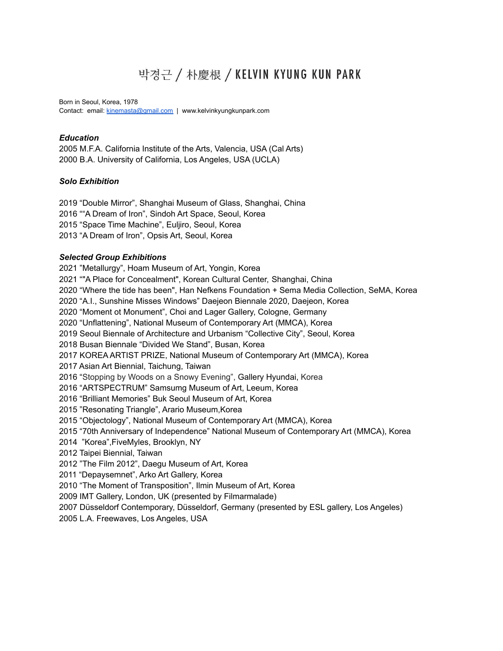# 박경근 / 朴慶根 / KELVIN KYUNG KUN PARK

Born in Seoul, Korea, 1978 Contact: email: [kinemasta@gmail.com](mailto:kinemasta@gmail.com) | www.kelvinkyungkunpark.com

## *Education*

 M.F.A. California Institute of the Arts, Valencia, USA (Cal Arts) B.A. University of California, Los Angeles, USA (UCLA)

# *Solo Exhibition*

 "Double Mirror", Shanghai Museum of Glass, Shanghai, China ""A Dream of Iron", Sindoh Art Space, Seoul, Korea "Space Time Machine", Euljiro, Seoul, Korea "A Dream of Iron", Opsis Art, Seoul, Korea

# *Selected Group Exhibitions*

 "Metallurgy", Hoam Museum of Art, Yongin, Korea ""A Place for Concealment", Korean Cultural Center, Shanghai, China "Where the tide has been", Han Nefkens Foundation + Sema Media Collection, SeMA, Korea "A.I., Sunshine Misses Windows" Daejeon Biennale 2020, Daejeon, Korea "Moment ot Monument", Choi and Lager Gallery, Cologne, Germany "Unflattening", National Museum of Contemporary Art (MMCA), Korea Seoul Biennale of Architecture and Urbanism "Collective City", Seoul, Korea Busan Biennale "Divided We Stand", Busan, Korea KOREA ARTIST PRIZE, National Museum of Contemporary Art (MMCA), Korea Asian Art Biennial, Taichung, Taiwan "Stopping by Woods on a Snowy Evening", Gallery Hyundai, Korea "ARTSPECTRUM" Samsumg Museum of Art, Leeum, Korea "Brilliant Memories" Buk Seoul Museum of Art, Korea "Resonating Triangle", Arario Museum,Korea "Objectology", National Museum of Contemporary Art (MMCA), Korea "70th Anniversary of Independence" National Museum of Contemporary Art (MMCA), Korea "Korea",FiveMyles, Brooklyn, NY Taipei Biennial, Taiwan "The Film 2012", Daegu Museum of Art, Korea "Depaysemnet", Arko Art Gallery, Korea "The Moment of Transposition", Ilmin Museum of Art, Korea IMT Gallery, London, UK (presented by Filmarmalade) Düsseldorf Contemporary, Düsseldorf, Germany (presented by ESL gallery, Los Angeles) L.A. Freewaves, Los Angeles, USA